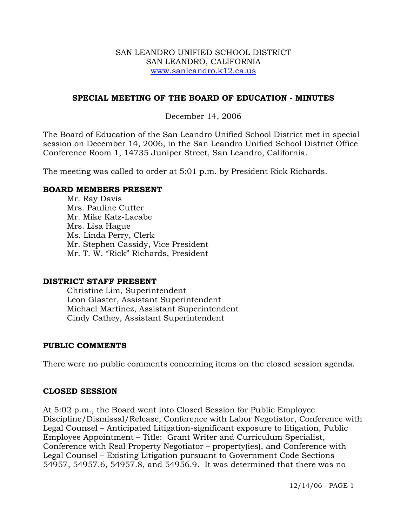### SAN LEANDRO UNIFIED SCHOOL DISTRICT SAN LEANDRO, CALIFORNIA www.sanleandro.k12.ca.us

## **SPECIAL MEETING OF THE BOARD OF EDUCATION - MINUTES**

## December 14, 2006

The Board of Education of the San Leandro Unified School District met in special session on December 14, 2006, in the San Leandro Unified School District Office Conference Room 1, 14735 Juniper Street, San Leandro, California.

The meeting was called to order at 5:01 p.m. by President Rick Richards.

### **BOARD MEMBERS PRESENT**

Mr. Ray Davis Mrs. Pauline Cutter Mr. Mike Katz-Lacabe Mrs. Lisa Hague Ms. Linda Perry, Clerk Mr. Stephen Cassidy, Vice President Mr. T. W. "Rick" Richards, President

#### **DISTRICT STAFF PRESENT**

Christine Lim, Superintendent Leon Glaster, Assistant Superintendent Michael Martinez, Assistant Superintendent Cindy Cathey, Assistant Superintendent

### **PUBLIC COMMENTS**

There were no public comments concerning items on the closed session agenda.

### **CLOSED SESSION**

At 5:02 p.m., the Board went into Closed Session for Public Employee Discipline/Dismissal/Release, Conference with Labor Negotiator, Conference with Legal Counsel – Anticipated Litigation-significant exposure to litigation, Public Employee Appointment – Title: Grant Writer and Curriculum Specialist, Conference with Real Property Negotiator – property(ies), and Conference with Legal Counsel – Existing Litigation pursuant to Government Code Sections 54957, 54957.6, 54957.8, and 54956.9. It was determined that there was no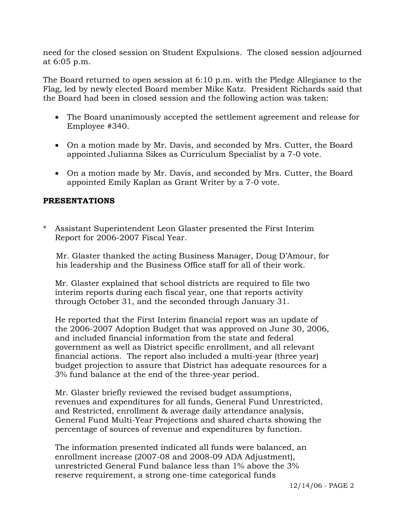need for the closed session on Student Expulsions. The closed session adjourned at 6:05 p.m.

The Board returned to open session at 6:10 p.m. with the Pledge Allegiance to the Flag, led by newly elected Board member Mike Katz. President Richards said that the Board had been in closed session and the following action was taken:

- The Board unanimously accepted the settlement agreement and release for Employee #340.
- On a motion made by Mr. Davis, and seconded by Mrs. Cutter, the Board appointed Julianna Sikes as Curriculum Specialist by a 7-0 vote.
- On a motion made by Mr. Davis, and seconded by Mrs. Cutter, the Board appointed Emily Kaplan as Grant Writer by a 7-0 vote.

## **PRESENTATIONS**

Assistant Superintendent Leon Glaster presented the First Interim Report for 2006-2007 Fiscal Year.

 Mr. Glaster thanked the acting Business Manager, Doug D'Amour, for his leadership and the Business Office staff for all of their work.

 Mr. Glaster explained that school districts are required to file two interim reports during each fiscal year, one that reports activity through October 31, and the seconded through January 31.

 He reported that the First Interim financial report was an update of the 2006-2007 Adoption Budget that was approved on June 30, 2006, and included financial information from the state and federal government as well as District specific enrollment, and all relevant financial actions. The report also included a multi-year (three year) budget projection to assure that District has adequate resources for a 3% fund balance at the end of the three-year period.

 Mr. Glaster briefly reviewed the revised budget assumptions, revenues and expenditures for all funds, General Fund Unrestricted, and Restricted, enrollment & average daily attendance analysis, General Fund Multi-Year Projections and shared charts showing the percentage of sources of revenue and expenditures by function.

 The information presented indicated all funds were balanced, an enrollment increase (2007-08 and 2008-09 ADA Adjustment), unrestricted General Fund balance less than 1% above the 3% reserve requirement, a strong one-time categorical funds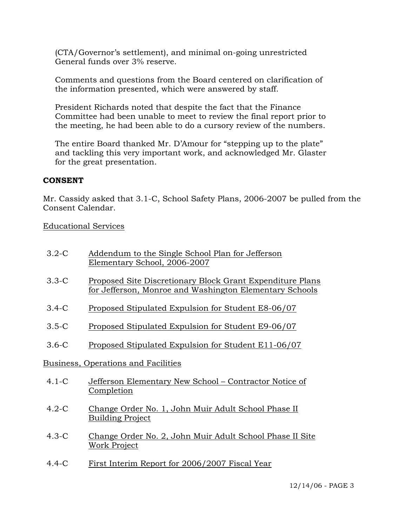(CTA/Governor's settlement), and minimal on-going unrestricted General funds over 3% reserve.

 Comments and questions from the Board centered on clarification of the information presented, which were answered by staff.

 President Richards noted that despite the fact that the Finance Committee had been unable to meet to review the final report prior to the meeting, he had been able to do a cursory review of the numbers.

 The entire Board thanked Mr. D'Amour for "stepping up to the plate" and tackling this very important work, and acknowledged Mr. Glaster for the great presentation.

## **CONSENT**

Mr. Cassidy asked that 3.1-C, School Safety Plans, 2006-2007 be pulled from the Consent Calendar.

Educational Services

| $3.2 - C$                                  | Addendum to the Single School Plan for Jefferson<br>Elementary School, 2006-2007                                            |
|--------------------------------------------|-----------------------------------------------------------------------------------------------------------------------------|
| $3.3-C$                                    | Proposed Site Discretionary Block Grant Expenditure Plans<br><u>for Jefferson, Monroe and Washington Elementary Schools</u> |
| $3.4-C$                                    | Proposed Stipulated Expulsion for Student E8-06/07                                                                          |
| $3.5-C$                                    | Proposed Stipulated Expulsion for Student E9-06/07                                                                          |
| $3.6-C$                                    | Proposed Stipulated Expulsion for Student E11-06/07                                                                         |
| <b>Business, Operations and Facilities</b> |                                                                                                                             |
| $4.1-C$                                    | Jefferson Elementary New School – Contractor Notice of<br>Completion                                                        |
| $4.2-C$                                    | Change Order No. 1, John Muir Adult School Phase II<br><b>Building Project</b>                                              |
| $4.3-C$                                    | Change Order No. 2, John Muir Adult School Phase II Site<br>Work Project                                                    |
|                                            |                                                                                                                             |

4.4-C First Interim Report for 2006/2007 Fiscal Year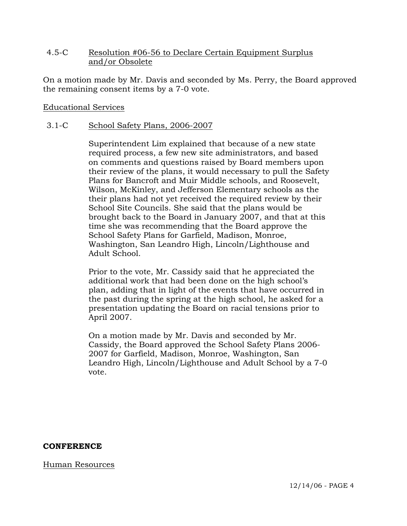## 4.5-C Resolution #06-56 to Declare Certain Equipment Surplus and/or Obsolete

On a motion made by Mr. Davis and seconded by Ms. Perry, the Board approved the remaining consent items by a 7-0 vote.

## Educational Services

## 3.1-C School Safety Plans, 2006-2007

Superintendent Lim explained that because of a new state required process, a few new site administrators, and based on comments and questions raised by Board members upon their review of the plans, it would necessary to pull the Safety Plans for Bancroft and Muir Middle schools, and Roosevelt, Wilson, McKinley, and Jefferson Elementary schools as the their plans had not yet received the required review by their School Site Councils. She said that the plans would be brought back to the Board in January 2007, and that at this time she was recommending that the Board approve the School Safety Plans for Garfield, Madison, Monroe, Washington, San Leandro High, Lincoln/Lighthouse and Adult School.

Prior to the vote, Mr. Cassidy said that he appreciated the additional work that had been done on the high school's plan, adding that in light of the events that have occurred in the past during the spring at the high school, he asked for a presentation updating the Board on racial tensions prior to April 2007.

On a motion made by Mr. Davis and seconded by Mr. Cassidy, the Board approved the School Safety Plans 2006- 2007 for Garfield, Madison, Monroe, Washington, San Leandro High, Lincoln/Lighthouse and Adult School by a 7-0 vote.

### **CONFERENCE**

Human Resources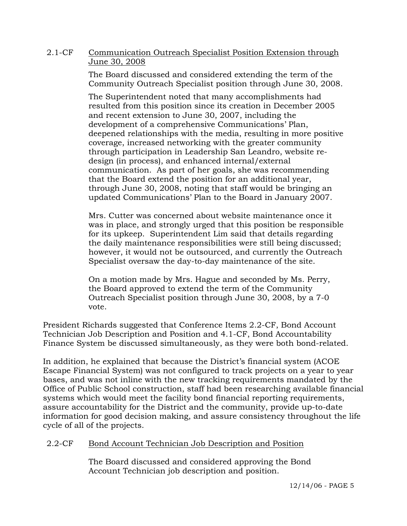## 2.1-CF Communication Outreach Specialist Position Extension through June 30, 2008

The Board discussed and considered extending the term of the Community Outreach Specialist position through June 30, 2008.

The Superintendent noted that many accomplishments had resulted from this position since its creation in December 2005 and recent extension to June 30, 2007, including the development of a comprehensive Communications' Plan, deepened relationships with the media, resulting in more positive coverage, increased networking with the greater community through participation in Leadership San Leandro, website redesign (in process), and enhanced internal/external communication. As part of her goals, she was recommending that the Board extend the position for an additional year, through June 30, 2008, noting that staff would be bringing an updated Communications' Plan to the Board in January 2007.

Mrs. Cutter was concerned about website maintenance once it was in place, and strongly urged that this position be responsible for its upkeep. Superintendent Lim said that details regarding the daily maintenance responsibilities were still being discussed; however, it would not be outsourced, and currently the Outreach Specialist oversaw the day-to-day maintenance of the site.

On a motion made by Mrs. Hague and seconded by Ms. Perry, the Board approved to extend the term of the Community Outreach Specialist position through June 30, 2008, by a 7-0 vote.

President Richards suggested that Conference Items 2.2-CF, Bond Account Technician Job Description and Position and 4.1-CF, Bond Accountability Finance System be discussed simultaneously, as they were both bond-related.

In addition, he explained that because the District's financial system (ACOE Escape Financial System) was not configured to track projects on a year to year bases, and was not inline with the new tracking requirements mandated by the Office of Public School construction, staff had been researching available financial systems which would meet the facility bond financial reporting requirements, assure accountability for the District and the community, provide up-to-date information for good decision making, and assure consistency throughout the life cycle of all of the projects.

# 2.2-CF Bond Account Technician Job Description and Position

The Board discussed and considered approving the Bond Account Technician job description and position.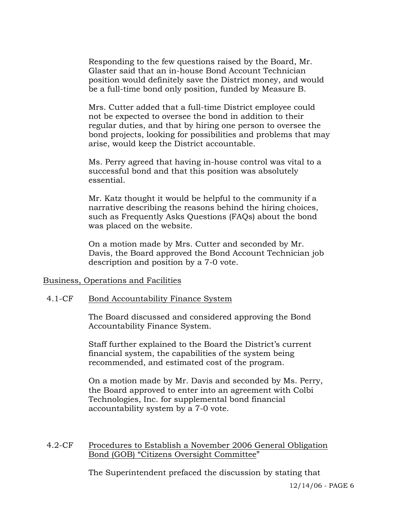Responding to the few questions raised by the Board, Mr. Glaster said that an in-house Bond Account Technician position would definitely save the District money, and would be a full-time bond only position, funded by Measure B.

Mrs. Cutter added that a full-time District employee could not be expected to oversee the bond in addition to their regular duties, and that by hiring one person to oversee the bond projects, looking for possibilities and problems that may arise, would keep the District accountable.

Ms. Perry agreed that having in-house control was vital to a successful bond and that this position was absolutely essential.

Mr. Katz thought it would be helpful to the community if a narrative describing the reasons behind the hiring choices, such as Frequently Asks Questions (FAQs) about the bond was placed on the website.

On a motion made by Mrs. Cutter and seconded by Mr. Davis, the Board approved the Bond Account Technician job description and position by a 7-0 vote.

### Business, Operations and Facilities

#### 4.1-CF Bond Accountability Finance System

The Board discussed and considered approving the Bond Accountability Finance System.

Staff further explained to the Board the District's current financial system, the capabilities of the system being recommended, and estimated cost of the program.

On a motion made by Mr. Davis and seconded by Ms. Perry, the Board approved to enter into an agreement with Colbi Technologies, Inc. for supplemental bond financial accountability system by a 7-0 vote.

### 4.2-CF Procedures to Establish a November 2006 General Obligation Bond (GOB) "Citizens Oversight Committee"

The Superintendent prefaced the discussion by stating that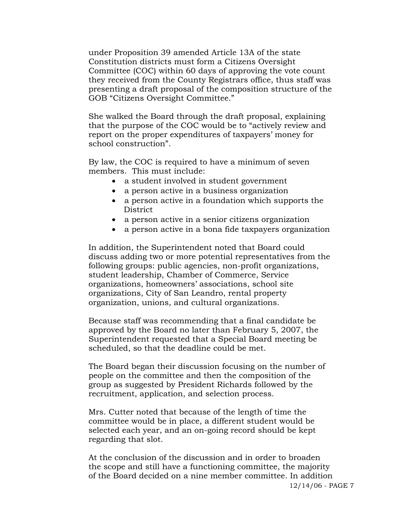under Proposition 39 amended Article 13A of the state Constitution districts must form a Citizens Oversight Committee (COC) within 60 days of approving the vote count they received from the County Registrars office, thus staff was presenting a draft proposal of the composition structure of the GOB "Citizens Oversight Committee."

She walked the Board through the draft proposal, explaining that the purpose of the COC would be to "actively review and report on the proper expenditures of taxpayers' money for school construction".

By law, the COC is required to have a minimum of seven members. This must include:

- a student involved in student government
- a person active in a business organization
- a person active in a foundation which supports the District
- a person active in a senior citizens organization
- a person active in a bona fide taxpayers organization

In addition, the Superintendent noted that Board could discuss adding two or more potential representatives from the following groups: public agencies, non-profit organizations, student leadership, Chamber of Commerce, Service organizations, homeowners' associations, school site organizations, City of San Leandro, rental property organization, unions, and cultural organizations.

Because staff was recommending that a final candidate be approved by the Board no later than February 5, 2007, the Superintendent requested that a Special Board meeting be scheduled, so that the deadline could be met.

The Board began their discussion focusing on the number of people on the committee and then the composition of the group as suggested by President Richards followed by the recruitment, application, and selection process.

Mrs. Cutter noted that because of the length of time the committee would be in place, a different student would be selected each year, and an on-going record should be kept regarding that slot.

At the conclusion of the discussion and in order to broaden the scope and still have a functioning committee, the majority of the Board decided on a nine member committee. In addition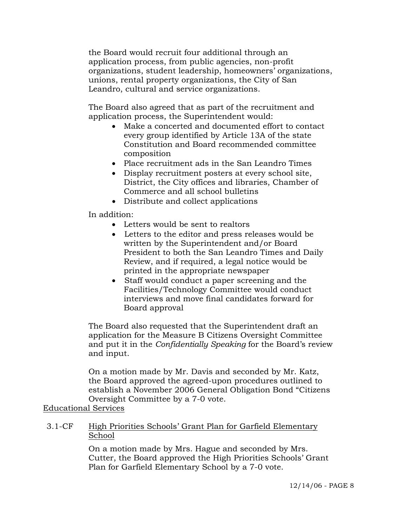the Board would recruit four additional through an application process, from public agencies, non-profit organizations, student leadership, homeowners' organizations, unions, rental property organizations, the City of San Leandro, cultural and service organizations.

The Board also agreed that as part of the recruitment and application process, the Superintendent would:

- Make a concerted and documented effort to contact every group identified by Article 13A of the state Constitution and Board recommended committee composition
- Place recruitment ads in the San Leandro Times
- Display recruitment posters at every school site, District, the City offices and libraries, Chamber of Commerce and all school bulletins
- Distribute and collect applications

In addition:

- Letters would be sent to realtors
- Letters to the editor and press releases would be written by the Superintendent and/or Board President to both the San Leandro Times and Daily Review, and if required, a legal notice would be printed in the appropriate newspaper
- Staff would conduct a paper screening and the Facilities/Technology Committee would conduct interviews and move final candidates forward for Board approval

The Board also requested that the Superintendent draft an application for the Measure B Citizens Oversight Committee and put it in the *Confidentially Speaking* for the Board's review and input.

On a motion made by Mr. Davis and seconded by Mr. Katz, the Board approved the agreed-upon procedures outlined to establish a November 2006 General Obligation Bond "Citizens Oversight Committee by a 7-0 vote.

Educational Services

## 3.1-CF High Priorities Schools' Grant Plan for Garfield Elementary School

On a motion made by Mrs. Hague and seconded by Mrs. Cutter, the Board approved the High Priorities Schools' Grant Plan for Garfield Elementary School by a 7-0 vote.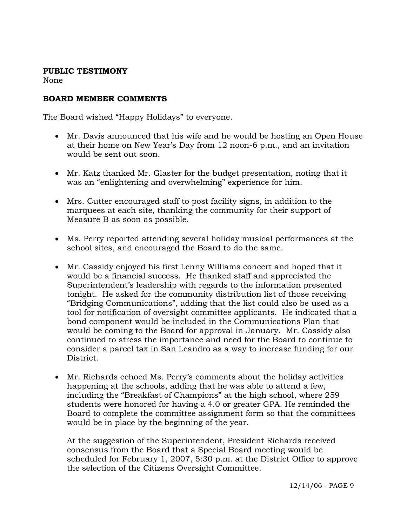## **PUBLIC TESTIMONY**

None

# **BOARD MEMBER COMMENTS**

The Board wished "Happy Holidays" to everyone.

- Mr. Davis announced that his wife and he would be hosting an Open House at their home on New Year's Day from 12 noon-6 p.m., and an invitation would be sent out soon.
- Mr. Katz thanked Mr. Glaster for the budget presentation, noting that it was an "enlightening and overwhelming" experience for him.
- Mrs. Cutter encouraged staff to post facility signs, in addition to the marquees at each site, thanking the community for their support of Measure B as soon as possible.
- Ms. Perry reported attending several holiday musical performances at the school sites, and encouraged the Board to do the same.
- Mr. Cassidy enjoyed his first Lenny Williams concert and hoped that it would be a financial success. He thanked staff and appreciated the Superintendent's leadership with regards to the information presented tonight. He asked for the community distribution list of those receiving "Bridging Communications", adding that the list could also be used as a tool for notification of oversight committee applicants. He indicated that a bond component would be included in the Communications Plan that would be coming to the Board for approval in January. Mr. Cassidy also continued to stress the importance and need for the Board to continue to consider a parcel tax in San Leandro as a way to increase funding for our District.
- Mr. Richards echoed Ms. Perry's comments about the holiday activities happening at the schools, adding that he was able to attend a few, including the "Breakfast of Champions" at the high school, where 259 students were honored for having a 4.0 or greater GPA. He reminded the Board to complete the committee assignment form so that the committees would be in place by the beginning of the year.

At the suggestion of the Superintendent, President Richards received consensus from the Board that a Special Board meeting would be scheduled for February 1, 2007, 5:30 p.m. at the District Office to approve the selection of the Citizens Oversight Committee.